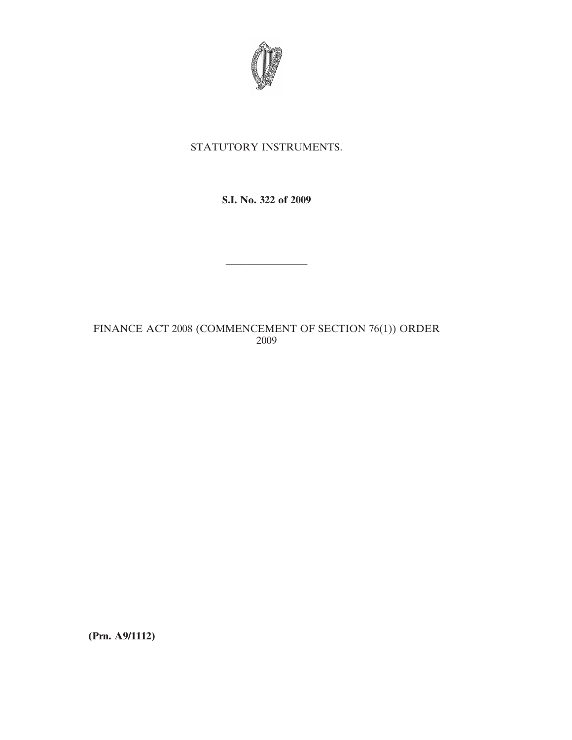

## STATUTORY INSTRUMENTS.

**S.I. No. 322 of 2009**

————————

FINANCE ACT 2008 (COMMENCEMENT OF SECTION 76(1)) ORDER 2009

**(Prn. A9/1112)**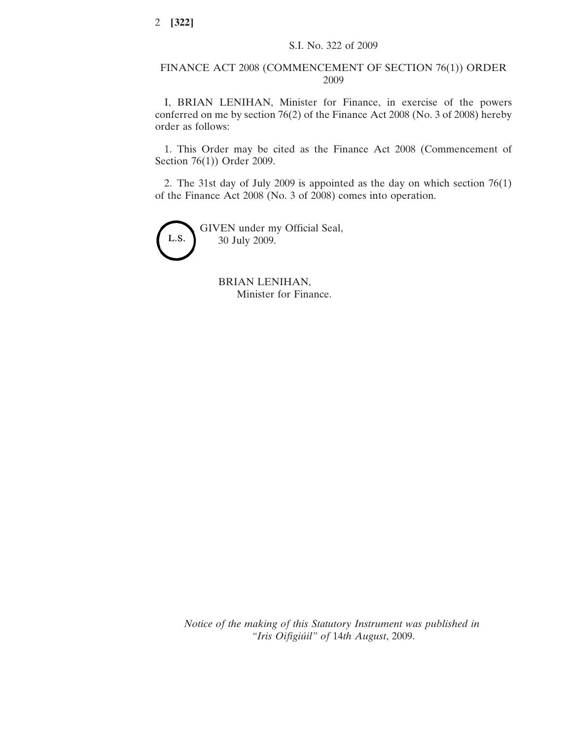## FINANCE ACT 2008 (COMMENCEMENT OF SECTION 76(1)) ORDER 2009

I, BRIAN LENIHAN, Minister for Finance, in exercise of the powers conferred on me by section 76(2) of the Finance Act 2008 (No. 3 of 2008) hereby order as follows:

1. This Order may be cited as the Finance Act 2008 (Commencement of Section 76(1)) Order 2009.

2. The 31st day of July 2009 is appointed as the day on which section 76(1) of the Finance Act 2008 (No. 3 of 2008) comes into operation.



BRIAN LENIHAN, Minister for Finance.

*Notice of the making of this Statutory Instrument was published in "Iris Oifigiu´il" of* 14*th August*, 2009.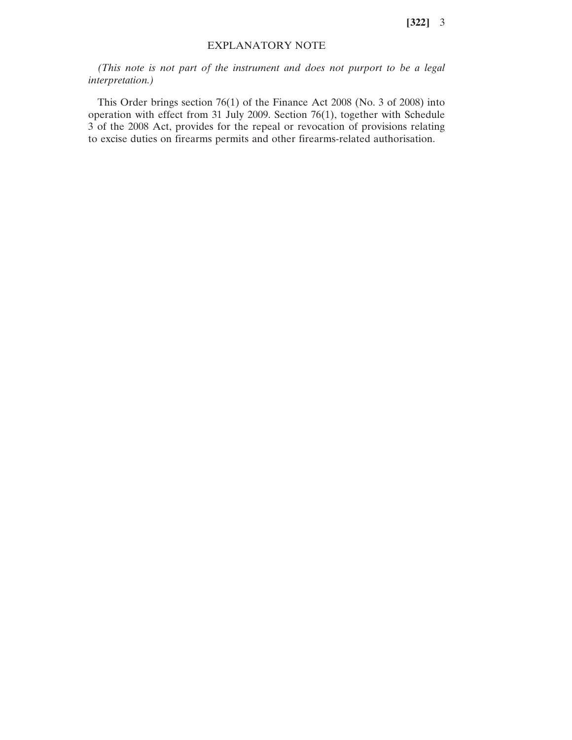**[322]** 3

## EXPLANATORY NOTE

*(This note is not part of the instrument and does not purport to be a legal interpretation.)*

This Order brings section 76(1) of the Finance Act 2008 (No. 3 of 2008) into operation with effect from 31 July 2009. Section 76(1), together with Schedule 3 of the 2008 Act, provides for the repeal or revocation of provisions relating to excise duties on firearms permits and other firearms-related authorisation.